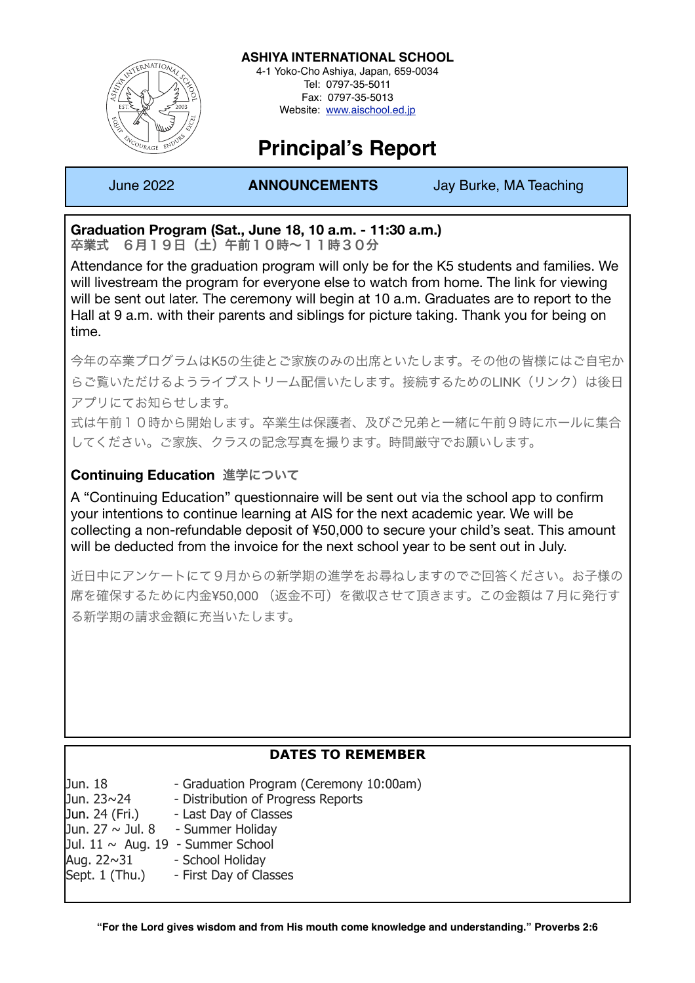

**ASHIYA INTERNATIONAL SCHOOL** 4-1 Yoko-Cho Ashiya, Japan, 659-0034

Tel: 0797-35-5011 Fax: 0797-35-5013 Website: [www.aischool.ed.jp](http://www.aischool.ed.jp)

# **Principal's Report**

I

June 2022 **ANNOUNCEMENTS** Jay Burke, MA Teaching

## **Graduation Program (Sat., June 18, 10 a.m. - 11:30 a.m.)**

卒業式 6月19日(土)午前10時~11時30分

Attendance for the graduation program will only be for the K5 students and families. We will livestream the program for everyone else to watch from home. The link for viewing will be sent out later. The ceremony will begin at 10 a.m. Graduates are to report to the Hall at 9 a.m. with their parents and siblings for picture taking. Thank you for being on time.

今年の卒業プログラムはK5の生徒とご家族のみの出席といたします。その他の皆様にはご自宅か らご覧いただけるようライブストリーム配信いたします。接続するためのLINK(リンク)は後日 アプリにてお知らせします。

式は午前10時から開始します。卒業生は保護者、及びご兄弟と一緒に午前9時にホールに集合 してください。ご家族、クラスの記念写真を撮ります。時間厳守でお願いします。

## **Continuing Education** 進学について

A "Continuing Education" questionnaire will be sent out via the school app to confirm your intentions to continue learning at AIS for the next academic year. We will be collecting a non-refundable deposit of ¥50,000 to secure your child's seat. This amount will be deducted from the invoice for the next school year to be sent out in July.

近日中にアンケートにて9月からの新学期の進学をお尋ねしますのでご回答ください。お子様の 席を確保するために内金¥50,000 (返金不可)を徴収させて頂きます。この金額は7月に発行す る新学期の請求金額に充当いたします。

| <b>DATES TO REMEMBER</b>               |                                         |
|----------------------------------------|-----------------------------------------|
| Jun. 18                                | - Graduation Program (Ceremony 10:00am) |
| Jun. 23~24                             | - Distribution of Progress Reports      |
| Jun. 24 (Fri.)                         | - Last Day of Classes                   |
|                                        | Jun. 27 $\sim$ Jul. 8 - Summer Holiday  |
| Jul. $11 \sim$ Aug. 19 - Summer School |                                         |
| Aug. 22~31                             | - School Holiday                        |
| Sept. 1 (Thu.)                         | - First Day of Classes                  |